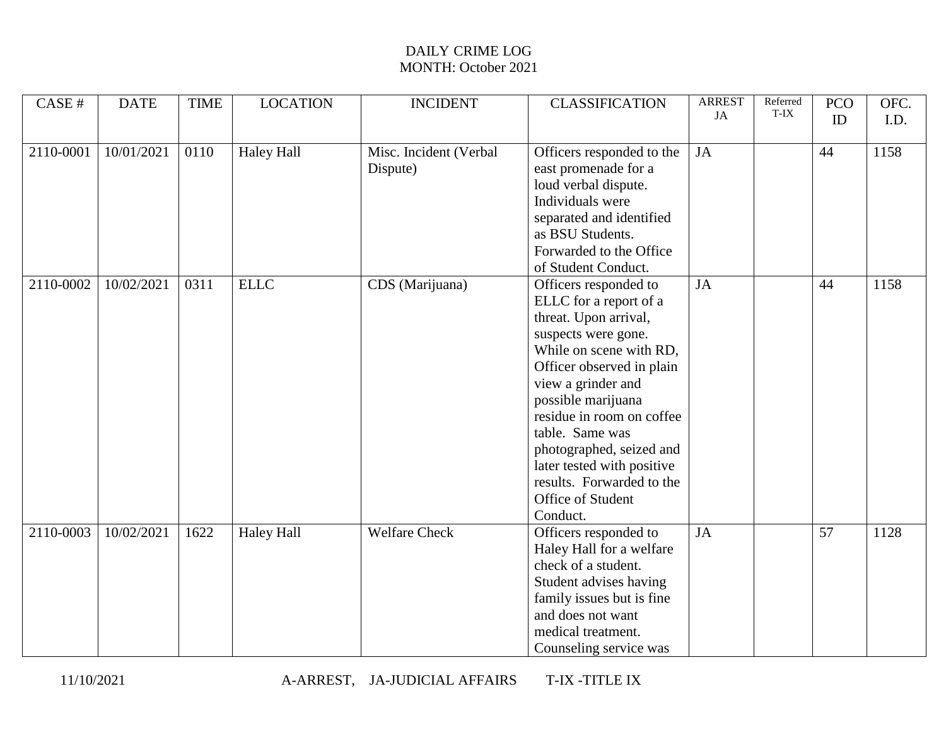| CASE#     | <b>DATE</b> | <b>TIME</b> | <b>LOCATION</b>   | <b>INCIDENT</b>                    | <b>CLASSIFICATION</b>                                                                                                                                                                                                                                                                                                                                                       | <b>ARREST</b><br>JA | Referred<br>T-IX | <b>PCO</b><br>ID | OFC.<br>I.D. |
|-----------|-------------|-------------|-------------------|------------------------------------|-----------------------------------------------------------------------------------------------------------------------------------------------------------------------------------------------------------------------------------------------------------------------------------------------------------------------------------------------------------------------------|---------------------|------------------|------------------|--------------|
| 2110-0001 | 10/01/2021  | 0110        | <b>Haley Hall</b> | Misc. Incident (Verbal<br>Dispute) | Officers responded to the<br>east promenade for a<br>loud verbal dispute.<br>Individuals were<br>separated and identified<br>as BSU Students.<br>Forwarded to the Office<br>of Student Conduct.                                                                                                                                                                             | JA                  |                  | 44               | 1158         |
| 2110-0002 | 10/02/2021  | 0311        | <b>ELLC</b>       | CDS (Marijuana)                    | Officers responded to<br>ELLC for a report of a<br>threat. Upon arrival,<br>suspects were gone.<br>While on scene with RD,<br>Officer observed in plain<br>view a grinder and<br>possible marijuana<br>residue in room on coffee<br>table. Same was<br>photographed, seized and<br>later tested with positive<br>results. Forwarded to the<br>Office of Student<br>Conduct. | <b>JA</b>           |                  | 44               | 1158         |
| 2110-0003 | 10/02/2021  | 1622        | <b>Haley Hall</b> | <b>Welfare Check</b>               | Officers responded to<br>Haley Hall for a welfare<br>check of a student.<br>Student advises having<br>family issues but is fine<br>and does not want<br>medical treatment.<br>Counseling service was                                                                                                                                                                        | JA                  |                  | 57               | 1128         |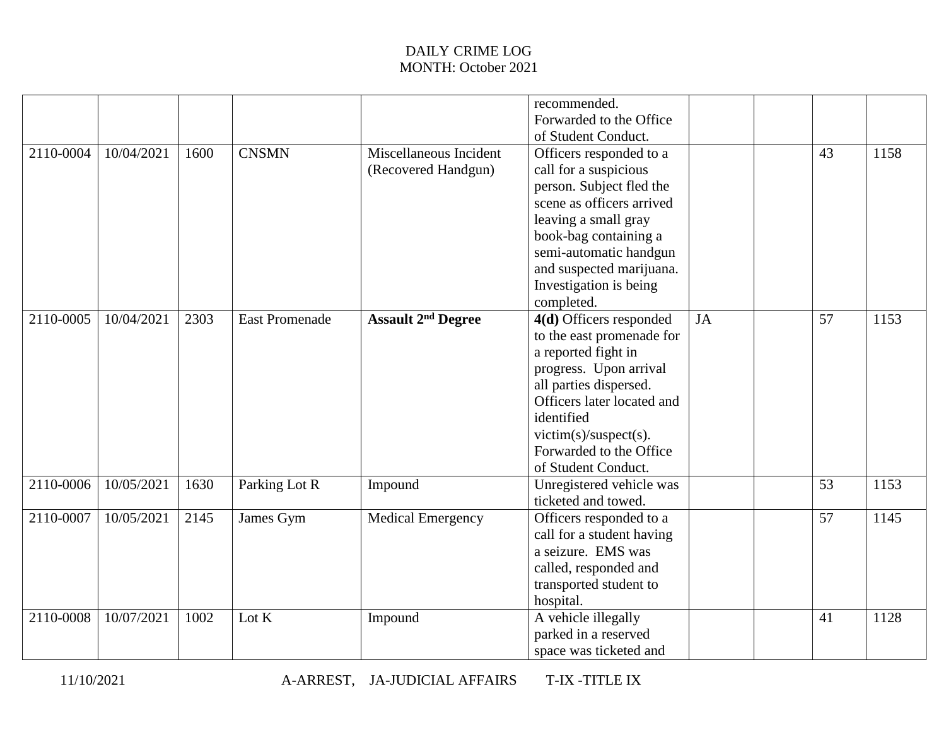|           |            |      |                       |                                               | recommended.<br>Forwarded to the Office<br>of Student Conduct.                                                                                                                                                                                            |           |    |      |
|-----------|------------|------|-----------------------|-----------------------------------------------|-----------------------------------------------------------------------------------------------------------------------------------------------------------------------------------------------------------------------------------------------------------|-----------|----|------|
| 2110-0004 | 10/04/2021 | 1600 | <b>CNSMN</b>          | Miscellaneous Incident<br>(Recovered Handgun) | Officers responded to a<br>call for a suspicious<br>person. Subject fled the<br>scene as officers arrived<br>leaving a small gray<br>book-bag containing a<br>semi-automatic handgun<br>and suspected marijuana.<br>Investigation is being<br>completed.  |           | 43 | 1158 |
| 2110-0005 | 10/04/2021 | 2303 | <b>East Promenade</b> | <b>Assault 2<sup>nd</sup> Degree</b>          | 4(d) Officers responded<br>to the east promenade for<br>a reported fight in<br>progress. Upon arrival<br>all parties dispersed.<br>Officers later located and<br>identified<br>$victim(s)/subsect(s)$ .<br>Forwarded to the Office<br>of Student Conduct. | <b>JA</b> | 57 | 1153 |
| 2110-0006 | 10/05/2021 | 1630 | Parking Lot R         | Impound                                       | Unregistered vehicle was<br>ticketed and towed.                                                                                                                                                                                                           |           | 53 | 1153 |
| 2110-0007 | 10/05/2021 | 2145 | James Gym             | <b>Medical Emergency</b>                      | Officers responded to a<br>call for a student having<br>a seizure. EMS was<br>called, responded and<br>transported student to<br>hospital.                                                                                                                |           | 57 | 1145 |
| 2110-0008 | 10/07/2021 | 1002 | Lot K                 | Impound                                       | A vehicle illegally<br>parked in a reserved<br>space was ticketed and                                                                                                                                                                                     |           | 41 | 1128 |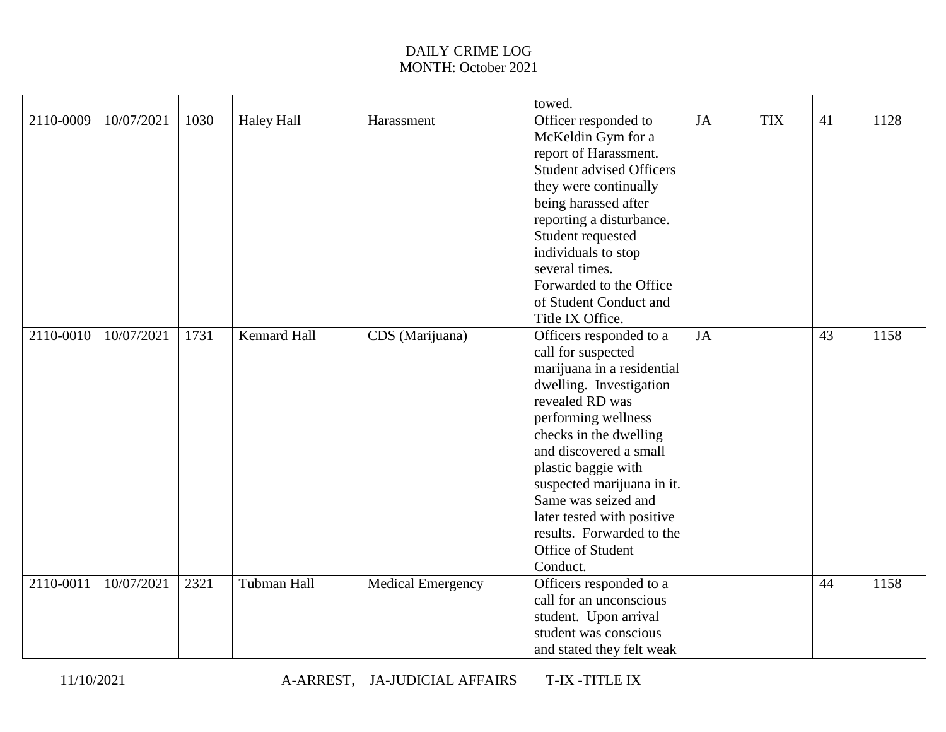|           |            |      |                   |                          | towed.                                                                                                                                                                                                                                                                                                                                                                       |           |            |    |      |
|-----------|------------|------|-------------------|--------------------------|------------------------------------------------------------------------------------------------------------------------------------------------------------------------------------------------------------------------------------------------------------------------------------------------------------------------------------------------------------------------------|-----------|------------|----|------|
| 2110-0009 | 10/07/2021 | 1030 | <b>Haley Hall</b> | Harassment               | Officer responded to<br>McKeldin Gym for a<br>report of Harassment.<br><b>Student advised Officers</b><br>they were continually<br>being harassed after<br>reporting a disturbance.<br>Student requested<br>individuals to stop<br>several times.<br>Forwarded to the Office<br>of Student Conduct and<br>Title IX Office.                                                   | JA        | <b>TIX</b> | 41 | 1128 |
| 2110-0010 | 10/07/2021 | 1731 | Kennard Hall      | CDS (Marijuana)          | Officers responded to a<br>call for suspected<br>marijuana in a residential<br>dwelling. Investigation<br>revealed RD was<br>performing wellness<br>checks in the dwelling<br>and discovered a small<br>plastic baggie with<br>suspected marijuana in it.<br>Same was seized and<br>later tested with positive<br>results. Forwarded to the<br>Office of Student<br>Conduct. | <b>JA</b> |            | 43 | 1158 |
| 2110-0011 | 10/07/2021 | 2321 | Tubman Hall       | <b>Medical Emergency</b> | Officers responded to a<br>call for an unconscious<br>student. Upon arrival<br>student was conscious<br>and stated they felt weak                                                                                                                                                                                                                                            |           |            | 44 | 1158 |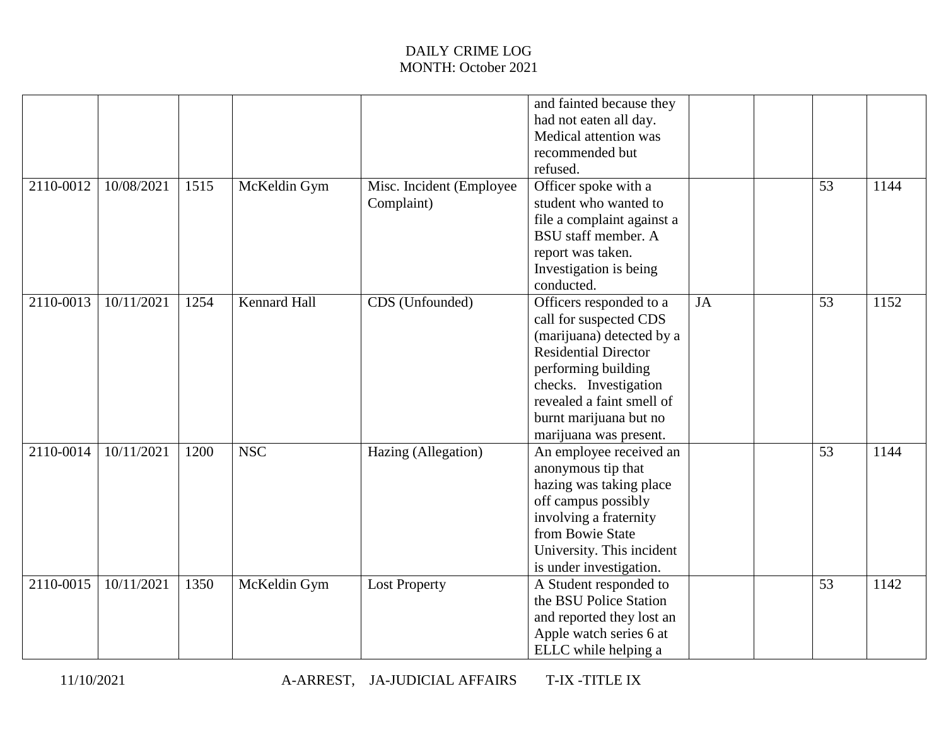| 2110-0012 | 10/08/2021 | 1515 | McKeldin Gym        | Misc. Incident (Employee | and fainted because they<br>had not eaten all day.<br>Medical attention was<br>recommended but<br>refused.<br>Officer spoke with a                                                                                                             |           | 53 | 1144 |
|-----------|------------|------|---------------------|--------------------------|------------------------------------------------------------------------------------------------------------------------------------------------------------------------------------------------------------------------------------------------|-----------|----|------|
|           |            |      |                     | Complaint)               | student who wanted to<br>file a complaint against a<br><b>BSU</b> staff member. A<br>report was taken.<br>Investigation is being<br>conducted.                                                                                                 |           |    |      |
| 2110-0013 | 10/11/2021 | 1254 | <b>Kennard Hall</b> | CDS (Unfounded)          | Officers responded to a<br>call for suspected CDS<br>(marijuana) detected by a<br><b>Residential Director</b><br>performing building<br>checks. Investigation<br>revealed a faint smell of<br>burnt marijuana but no<br>marijuana was present. | <b>JA</b> | 53 | 1152 |
| 2110-0014 | 10/11/2021 | 1200 | <b>NSC</b>          | Hazing (Allegation)      | An employee received an<br>anonymous tip that<br>hazing was taking place<br>off campus possibly<br>involving a fraternity<br>from Bowie State<br>University. This incident<br>is under investigation.                                          |           | 53 | 1144 |
| 2110-0015 | 10/11/2021 | 1350 | McKeldin Gym        | <b>Lost Property</b>     | A Student responded to<br>the BSU Police Station<br>and reported they lost an<br>Apple watch series 6 at<br>ELLC while helping a                                                                                                               |           | 53 | 1142 |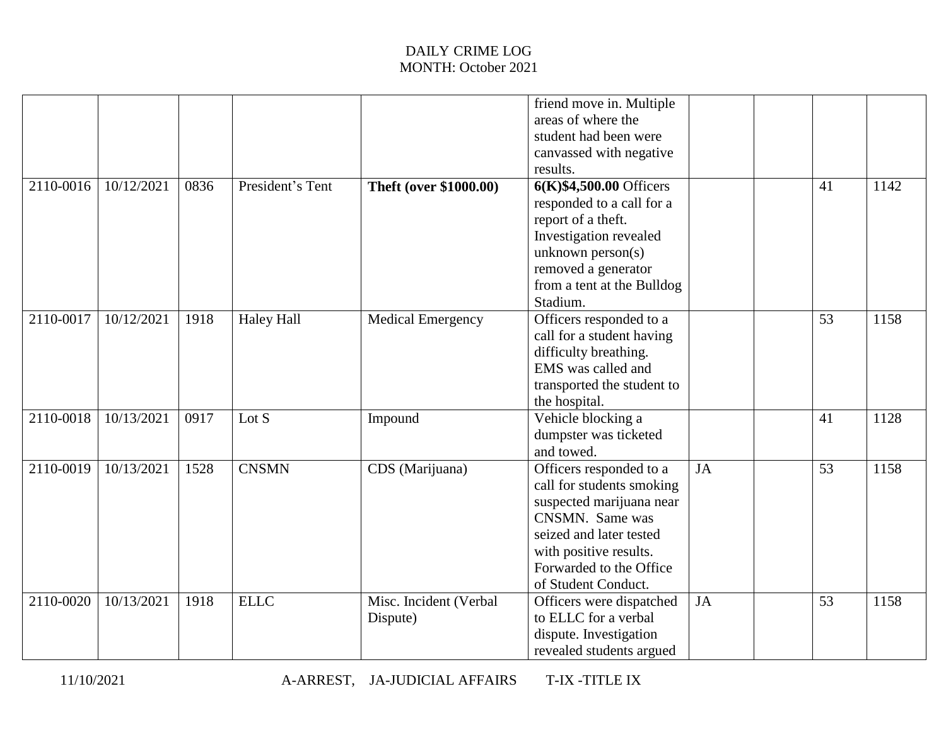|               |            |      |                   |                                    | friend move in. Multiple<br>areas of where the<br>student had been were<br>canvassed with negative                                                                                                         |           |    |      |
|---------------|------------|------|-------------------|------------------------------------|------------------------------------------------------------------------------------------------------------------------------------------------------------------------------------------------------------|-----------|----|------|
| 2110-0016     | 10/12/2021 | 0836 | President's Tent  | <b>Theft (over \$1000.00)</b>      | results.<br>6(K)\$4,500.00 Officers<br>responded to a call for a<br>report of a theft.<br>Investigation revealed<br>unknown person(s)<br>removed a generator<br>from a tent at the Bulldog<br>Stadium.     |           | 41 | 1142 |
| $2110 - 0017$ | 10/12/2021 | 1918 | <b>Haley Hall</b> | <b>Medical Emergency</b>           | Officers responded to a<br>call for a student having<br>difficulty breathing.<br>EMS was called and<br>transported the student to<br>the hospital.                                                         |           | 53 | 1158 |
| 2110-0018     | 10/13/2021 | 0917 | Lot $S$           | Impound                            | Vehicle blocking a<br>dumpster was ticketed<br>and towed.                                                                                                                                                  |           | 41 | 1128 |
| 2110-0019     | 10/13/2021 | 1528 | <b>CNSMN</b>      | CDS (Marijuana)                    | Officers responded to a<br>call for students smoking<br>suspected marijuana near<br>CNSMN. Same was<br>seized and later tested<br>with positive results.<br>Forwarded to the Office<br>of Student Conduct. | <b>JA</b> | 53 | 1158 |
| 2110-0020     | 10/13/2021 | 1918 | <b>ELLC</b>       | Misc. Incident (Verbal<br>Dispute) | Officers were dispatched<br>to ELLC for a verbal<br>dispute. Investigation<br>revealed students argued                                                                                                     | <b>JA</b> | 53 | 1158 |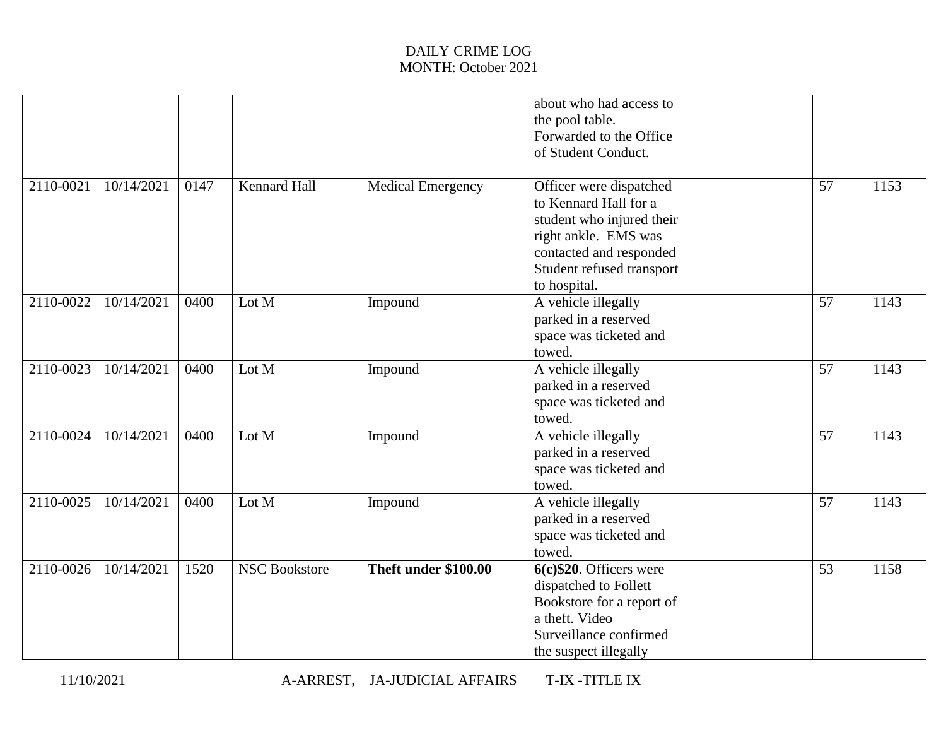|           |            |      |                      |                          | about who had access to<br>the pool table.<br>Forwarded to the Office<br>of Student Conduct.                                                                                  |    |      |
|-----------|------------|------|----------------------|--------------------------|-------------------------------------------------------------------------------------------------------------------------------------------------------------------------------|----|------|
| 2110-0021 | 10/14/2021 | 0147 | <b>Kennard Hall</b>  | <b>Medical Emergency</b> | Officer were dispatched<br>to Kennard Hall for a<br>student who injured their<br>right ankle. EMS was<br>contacted and responded<br>Student refused transport<br>to hospital. | 57 | 1153 |
| 2110-0022 | 10/14/2021 | 0400 | Lot M                | Impound                  | A vehicle illegally<br>parked in a reserved<br>space was ticketed and<br>towed.                                                                                               | 57 | 1143 |
| 2110-0023 | 10/14/2021 | 0400 | Lot M                | Impound                  | A vehicle illegally<br>parked in a reserved<br>space was ticketed and<br>towed.                                                                                               | 57 | 1143 |
| 2110-0024 | 10/14/2021 | 0400 | Lot M                | Impound                  | A vehicle illegally<br>parked in a reserved<br>space was ticketed and<br>towed.                                                                                               | 57 | 1143 |
| 2110-0025 | 10/14/2021 | 0400 | Lot M                | Impound                  | A vehicle illegally<br>parked in a reserved<br>space was ticketed and<br>towed.                                                                                               | 57 | 1143 |
| 2110-0026 | 10/14/2021 | 1520 | <b>NSC Bookstore</b> | Theft under \$100.00     | $6(c)$ \$20. Officers were<br>dispatched to Follett<br>Bookstore for a report of<br>a theft. Video<br>Surveillance confirmed<br>the suspect illegally                         | 53 | 1158 |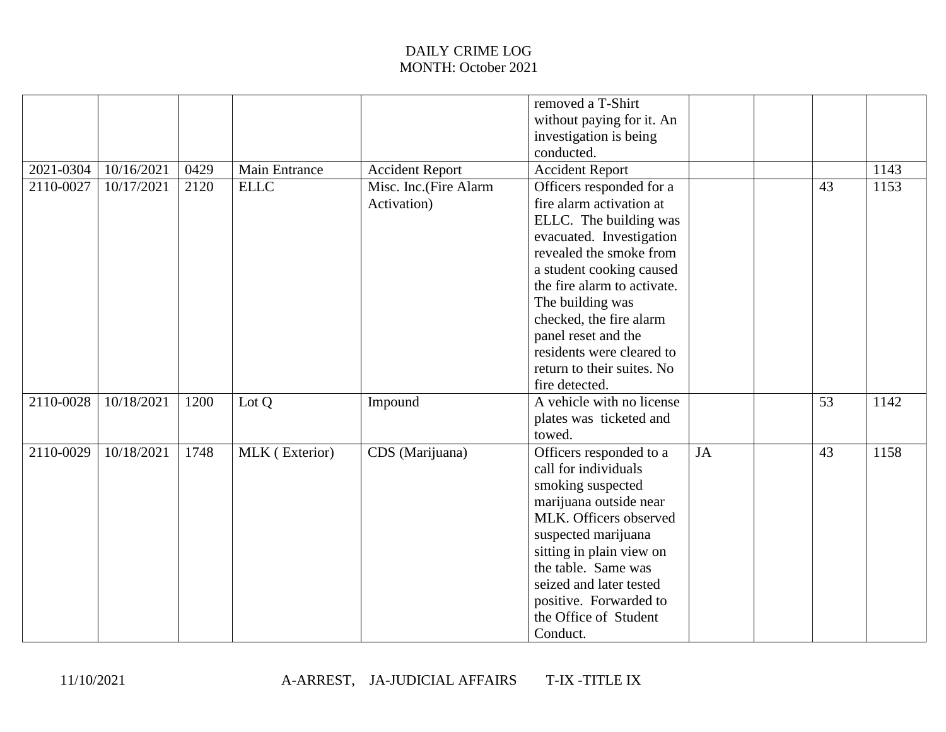|           |            |      |                      |                                      | removed a T-Shirt<br>without paying for it. An<br>investigation is being<br>conducted.                                                                                                                                                                                                                                                              |           |    |      |
|-----------|------------|------|----------------------|--------------------------------------|-----------------------------------------------------------------------------------------------------------------------------------------------------------------------------------------------------------------------------------------------------------------------------------------------------------------------------------------------------|-----------|----|------|
| 2021-0304 | 10/16/2021 | 0429 | <b>Main Entrance</b> | <b>Accident Report</b>               | <b>Accident Report</b>                                                                                                                                                                                                                                                                                                                              |           |    | 1143 |
| 2110-0027 | 10/17/2021 | 2120 | <b>ELLC</b>          | Misc. Inc.(Fire Alarm<br>Activation) | Officers responded for a<br>fire alarm activation at<br>ELLC. The building was<br>evacuated. Investigation<br>revealed the smoke from<br>a student cooking caused<br>the fire alarm to activate.<br>The building was<br>checked, the fire alarm<br>panel reset and the<br>residents were cleared to<br>return to their suites. No<br>fire detected. |           | 43 | 1153 |
| 2110-0028 | 10/18/2021 | 1200 | Lot Q                | Impound                              | A vehicle with no license<br>plates was ticketed and<br>towed.                                                                                                                                                                                                                                                                                      |           | 53 | 1142 |
| 2110-0029 | 10/18/2021 | 1748 | MLK (Exterior)       | CDS (Marijuana)                      | Officers responded to a<br>call for individuals<br>smoking suspected<br>marijuana outside near<br>MLK. Officers observed<br>suspected marijuana<br>sitting in plain view on<br>the table. Same was<br>seized and later tested<br>positive. Forwarded to<br>the Office of Student<br>Conduct.                                                        | <b>JA</b> | 43 | 1158 |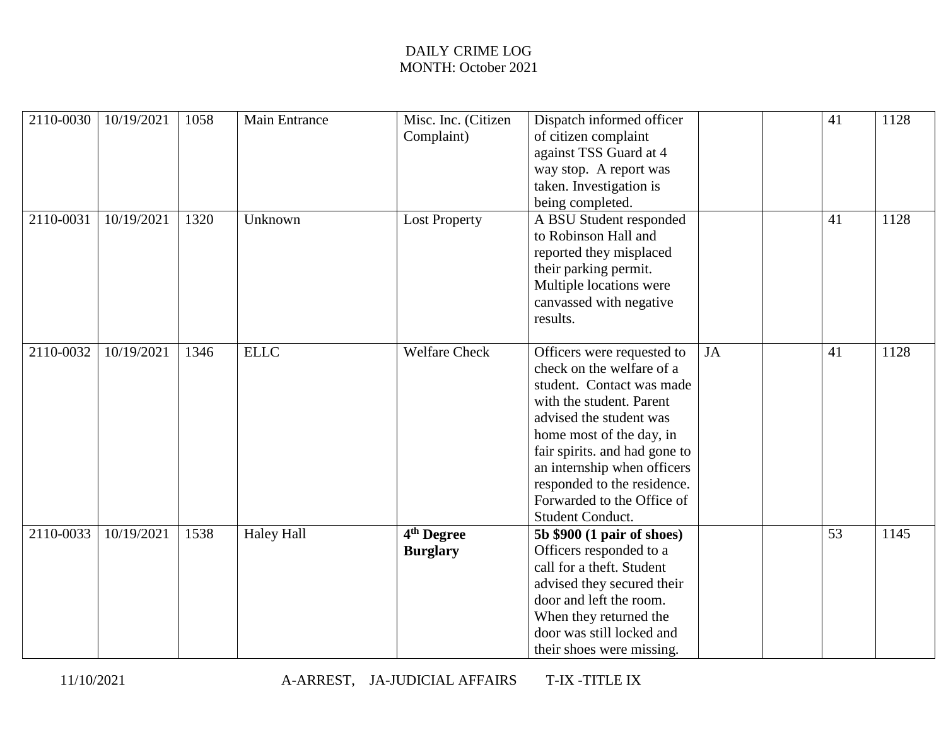| 2110-0030 | 10/19/2021 | 1058 | <b>Main Entrance</b> | Misc. Inc. (Citizen    | Dispatch informed officer                               |           | 41 | 1128 |
|-----------|------------|------|----------------------|------------------------|---------------------------------------------------------|-----------|----|------|
|           |            |      |                      | Complaint)             | of citizen complaint<br>against TSS Guard at 4          |           |    |      |
|           |            |      |                      |                        | way stop. A report was                                  |           |    |      |
|           |            |      |                      |                        | taken. Investigation is                                 |           |    |      |
|           |            |      |                      |                        | being completed.                                        |           |    |      |
| 2110-0031 | 10/19/2021 | 1320 | Unknown              | <b>Lost Property</b>   | A BSU Student responded                                 |           | 41 | 1128 |
|           |            |      |                      |                        | to Robinson Hall and                                    |           |    |      |
|           |            |      |                      |                        | reported they misplaced                                 |           |    |      |
|           |            |      |                      |                        | their parking permit.                                   |           |    |      |
|           |            |      |                      |                        | Multiple locations were                                 |           |    |      |
|           |            |      |                      |                        | canvassed with negative                                 |           |    |      |
|           |            |      |                      |                        | results.                                                |           |    |      |
| 2110-0032 | 10/19/2021 | 1346 | <b>ELLC</b>          | <b>Welfare Check</b>   |                                                         | <b>JA</b> | 41 | 1128 |
|           |            |      |                      |                        | Officers were requested to<br>check on the welfare of a |           |    |      |
|           |            |      |                      |                        | student. Contact was made                               |           |    |      |
|           |            |      |                      |                        | with the student. Parent                                |           |    |      |
|           |            |      |                      |                        | advised the student was                                 |           |    |      |
|           |            |      |                      |                        | home most of the day, in                                |           |    |      |
|           |            |      |                      |                        | fair spirits. and had gone to                           |           |    |      |
|           |            |      |                      |                        | an internship when officers                             |           |    |      |
|           |            |      |                      |                        | responded to the residence.                             |           |    |      |
|           |            |      |                      |                        | Forwarded to the Office of                              |           |    |      |
|           |            |      |                      |                        | Student Conduct.                                        |           |    |      |
| 2110-0033 | 10/19/2021 | 1538 | <b>Haley Hall</b>    | 4 <sup>th</sup> Degree | 5b \$900 (1 pair of shoes)                              |           | 53 | 1145 |
|           |            |      |                      | <b>Burglary</b>        | Officers responded to a                                 |           |    |      |
|           |            |      |                      |                        | call for a theft. Student                               |           |    |      |
|           |            |      |                      |                        | advised they secured their                              |           |    |      |
|           |            |      |                      |                        | door and left the room.                                 |           |    |      |
|           |            |      |                      |                        | When they returned the                                  |           |    |      |
|           |            |      |                      |                        | door was still locked and                               |           |    |      |
|           |            |      |                      |                        | their shoes were missing.                               |           |    |      |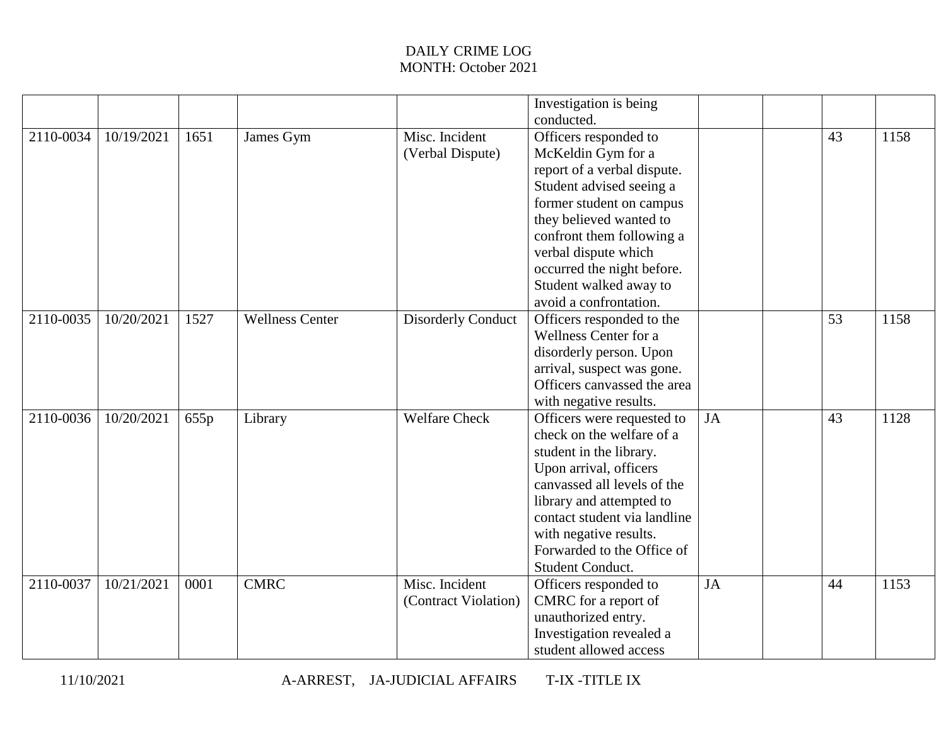|           |            |      |                        |                           | Investigation is being       |    |    |      |
|-----------|------------|------|------------------------|---------------------------|------------------------------|----|----|------|
|           |            |      |                        |                           | conducted.                   |    |    |      |
| 2110-0034 | 10/19/2021 | 1651 | James Gym              | Misc. Incident            | Officers responded to        |    | 43 | 1158 |
|           |            |      |                        | (Verbal Dispute)          | McKeldin Gym for a           |    |    |      |
|           |            |      |                        |                           | report of a verbal dispute.  |    |    |      |
|           |            |      |                        |                           | Student advised seeing a     |    |    |      |
|           |            |      |                        |                           | former student on campus     |    |    |      |
|           |            |      |                        |                           | they believed wanted to      |    |    |      |
|           |            |      |                        |                           | confront them following a    |    |    |      |
|           |            |      |                        |                           | verbal dispute which         |    |    |      |
|           |            |      |                        |                           | occurred the night before.   |    |    |      |
|           |            |      |                        |                           | Student walked away to       |    |    |      |
|           |            |      |                        |                           | avoid a confrontation.       |    |    |      |
| 2110-0035 | 10/20/2021 | 1527 | <b>Wellness Center</b> | <b>Disorderly Conduct</b> | Officers responded to the    |    | 53 | 1158 |
|           |            |      |                        |                           | Wellness Center for a        |    |    |      |
|           |            |      |                        |                           | disorderly person. Upon      |    |    |      |
|           |            |      |                        |                           | arrival, suspect was gone.   |    |    |      |
|           |            |      |                        |                           | Officers canvassed the area  |    |    |      |
|           |            |      |                        |                           | with negative results.       |    |    |      |
| 2110-0036 | 10/20/2021 | 655p | Library                | <b>Welfare Check</b>      | Officers were requested to   | JA | 43 | 1128 |
|           |            |      |                        |                           | check on the welfare of a    |    |    |      |
|           |            |      |                        |                           | student in the library.      |    |    |      |
|           |            |      |                        |                           | Upon arrival, officers       |    |    |      |
|           |            |      |                        |                           | canvassed all levels of the  |    |    |      |
|           |            |      |                        |                           | library and attempted to     |    |    |      |
|           |            |      |                        |                           | contact student via landline |    |    |      |
|           |            |      |                        |                           | with negative results.       |    |    |      |
|           |            |      |                        |                           | Forwarded to the Office of   |    |    |      |
|           |            |      |                        |                           | Student Conduct.             |    |    |      |
| 2110-0037 | 10/21/2021 | 0001 | <b>CMRC</b>            | Misc. Incident            | Officers responded to        | JA | 44 | 1153 |
|           |            |      |                        | (Contract Violation)      | CMRC for a report of         |    |    |      |
|           |            |      |                        |                           | unauthorized entry.          |    |    |      |
|           |            |      |                        |                           | Investigation revealed a     |    |    |      |
|           |            |      |                        |                           | student allowed access       |    |    |      |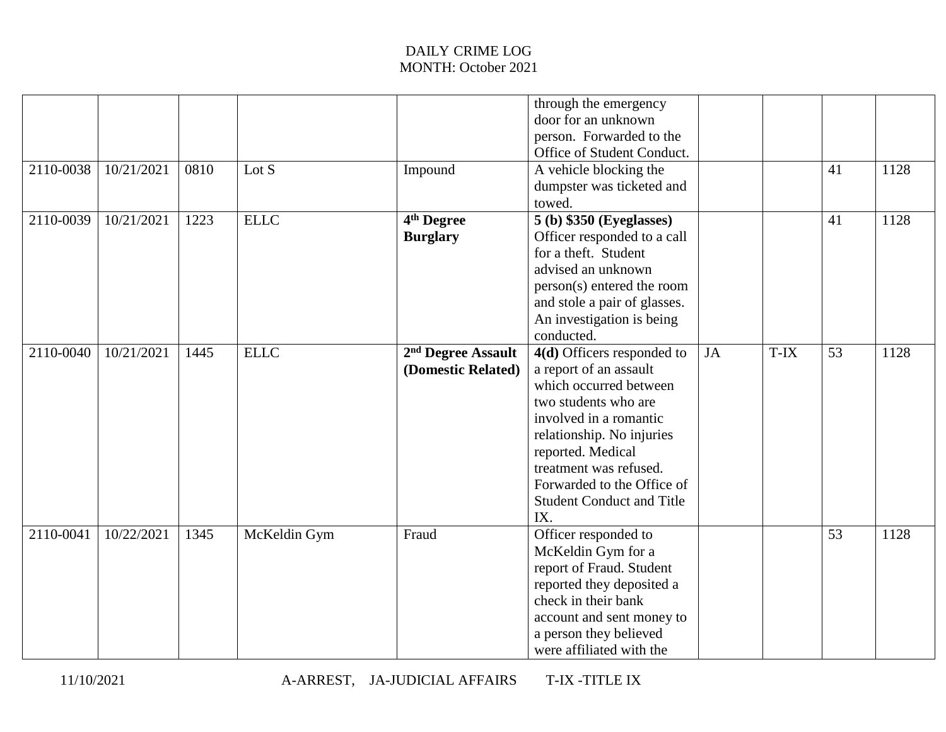| 2110-0038 | 10/21/2021 | 0810 | Lot $S$      | Impound                                              | through the emergency<br>door for an unknown<br>person. Forwarded to the<br>Office of Student Conduct.<br>A vehicle blocking the<br>dumpster was ticketed and<br>towed.                                                                                                               |           |      | 41 | 1128 |
|-----------|------------|------|--------------|------------------------------------------------------|---------------------------------------------------------------------------------------------------------------------------------------------------------------------------------------------------------------------------------------------------------------------------------------|-----------|------|----|------|
| 2110-0039 | 10/21/2021 | 1223 | <b>ELLC</b>  | 4 <sup>th</sup> Degree<br><b>Burglary</b>            | 5 (b) \$350 (Eyeglasses)<br>Officer responded to a call<br>for a theft. Student<br>advised an unknown<br>person(s) entered the room<br>and stole a pair of glasses.<br>An investigation is being<br>conducted.                                                                        |           |      | 41 | 1128 |
| 2110-0040 | 10/21/2021 | 1445 | <b>ELLC</b>  | 2 <sup>nd</sup> Degree Assault<br>(Domestic Related) | 4(d) Officers responded to<br>a report of an assault<br>which occurred between<br>two students who are<br>involved in a romantic<br>relationship. No injuries<br>reported. Medical<br>treatment was refused.<br>Forwarded to the Office of<br><b>Student Conduct and Title</b><br>IX. | <b>JA</b> | T-IX | 53 | 1128 |
| 2110-0041 | 10/22/2021 | 1345 | McKeldin Gym | Fraud                                                | Officer responded to<br>McKeldin Gym for a<br>report of Fraud. Student<br>reported they deposited a<br>check in their bank<br>account and sent money to<br>a person they believed<br>were affiliated with the                                                                         |           |      | 53 | 1128 |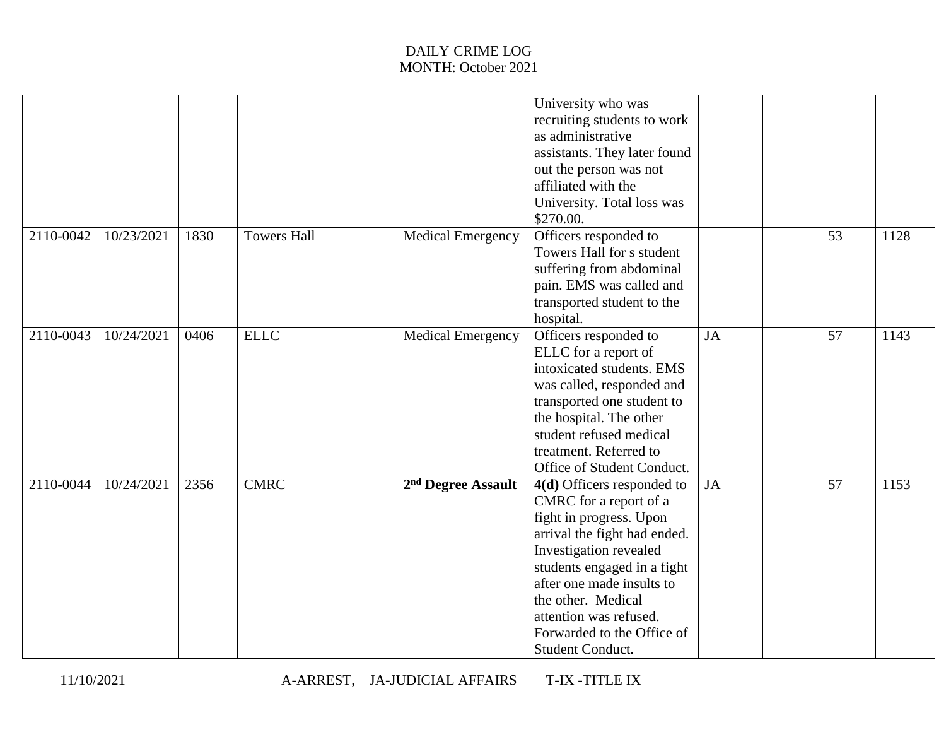|           |            |      |                    |                                | University who was<br>recruiting students to work<br>as administrative<br>assistants. They later found<br>out the person was not<br>affiliated with the<br>University. Total loss was<br>\$270.00.                                                                                                      |           |    |      |
|-----------|------------|------|--------------------|--------------------------------|---------------------------------------------------------------------------------------------------------------------------------------------------------------------------------------------------------------------------------------------------------------------------------------------------------|-----------|----|------|
| 2110-0042 | 10/23/2021 | 1830 | <b>Towers Hall</b> | <b>Medical Emergency</b>       | Officers responded to<br>Towers Hall for s student<br>suffering from abdominal<br>pain. EMS was called and<br>transported student to the<br>hospital.                                                                                                                                                   |           | 53 | 1128 |
| 2110-0043 | 10/24/2021 | 0406 | <b>ELLC</b>        | <b>Medical Emergency</b>       | Officers responded to<br>ELLC for a report of<br>intoxicated students. EMS<br>was called, responded and<br>transported one student to<br>the hospital. The other<br>student refused medical<br>treatment. Referred to<br>Office of Student Conduct.                                                     | <b>JA</b> | 57 | 1143 |
| 2110-0044 | 10/24/2021 | 2356 | <b>CMRC</b>        | 2 <sup>nd</sup> Degree Assault | 4(d) Officers responded to<br>CMRC for a report of a<br>fight in progress. Upon<br>arrival the fight had ended.<br>Investigation revealed<br>students engaged in a fight<br>after one made insults to<br>the other. Medical<br>attention was refused.<br>Forwarded to the Office of<br>Student Conduct. | JA        | 57 | 1153 |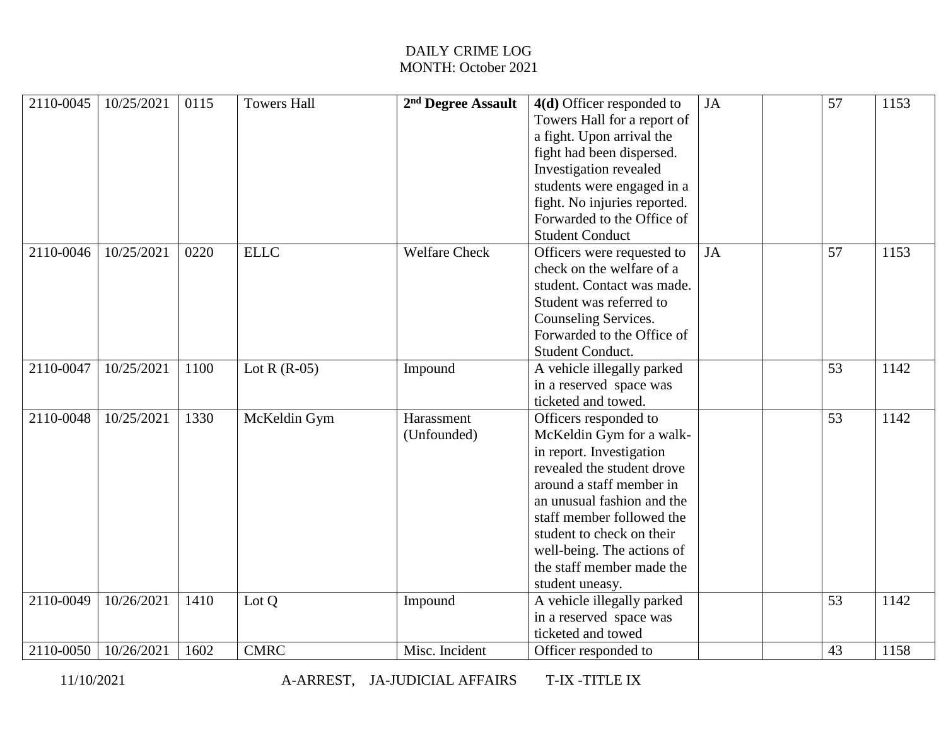| 2110-0045 | 10/25/2021 | 0115 | <b>Towers Hall</b> | 2 <sup>nd</sup> Degree Assault | 4(d) Officer responded to<br>Towers Hall for a report of<br>a fight. Upon arrival the<br>fight had been dispersed.<br>Investigation revealed<br>students were engaged in a<br>fight. No injuries reported.<br>Forwarded to the Office of<br><b>Student Conduct</b>                                            | <b>JA</b> | 57 | 1153 |
|-----------|------------|------|--------------------|--------------------------------|---------------------------------------------------------------------------------------------------------------------------------------------------------------------------------------------------------------------------------------------------------------------------------------------------------------|-----------|----|------|
| 2110-0046 | 10/25/2021 | 0220 | <b>ELLC</b>        | <b>Welfare Check</b>           | Officers were requested to<br>check on the welfare of a<br>student. Contact was made.<br>Student was referred to<br>Counseling Services.<br>Forwarded to the Office of<br>Student Conduct.                                                                                                                    | JA        | 57 | 1153 |
| 2110-0047 | 10/25/2021 | 1100 | Lot R $(R-05)$     | Impound                        | A vehicle illegally parked<br>in a reserved space was<br>ticketed and towed.                                                                                                                                                                                                                                  |           | 53 | 1142 |
| 2110-0048 | 10/25/2021 | 1330 | McKeldin Gym       | Harassment<br>(Unfounded)      | Officers responded to<br>McKeldin Gym for a walk-<br>in report. Investigation<br>revealed the student drove<br>around a staff member in<br>an unusual fashion and the<br>staff member followed the<br>student to check on their<br>well-being. The actions of<br>the staff member made the<br>student uneasy. |           | 53 | 1142 |
| 2110-0049 | 10/26/2021 | 1410 | Lot Q              | Impound                        | A vehicle illegally parked<br>in a reserved space was<br>ticketed and towed                                                                                                                                                                                                                                   |           | 53 | 1142 |
| 2110-0050 | 10/26/2021 | 1602 | <b>CMRC</b>        | Misc. Incident                 | Officer responded to                                                                                                                                                                                                                                                                                          |           | 43 | 1158 |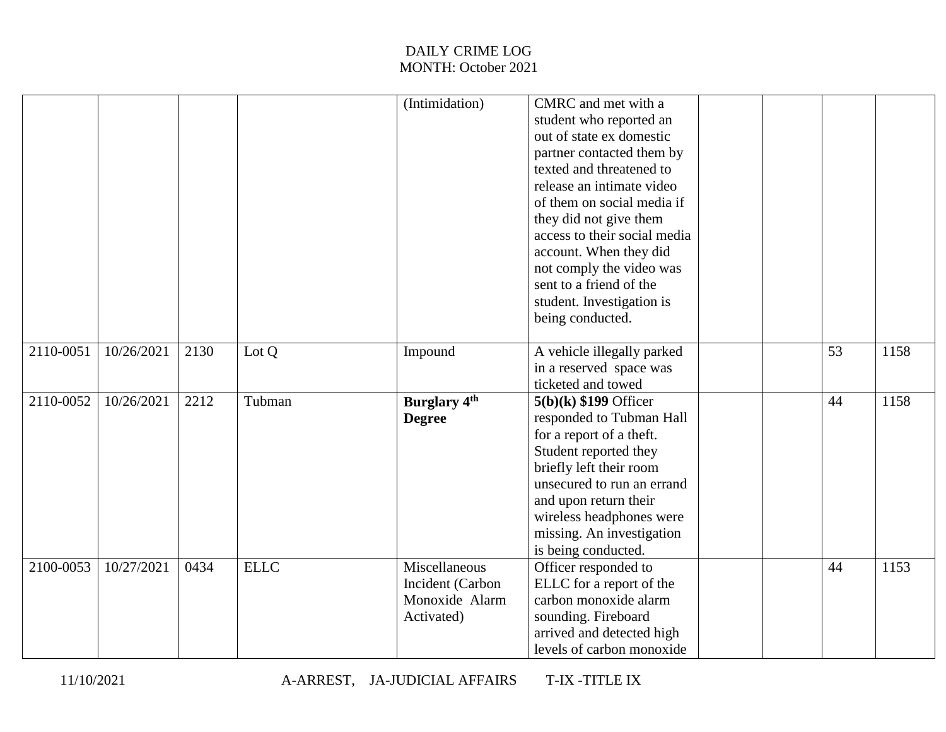|           |            |      |             | (Intimidation)                                                    | CMRC and met with a<br>student who reported an<br>out of state ex domestic<br>partner contacted them by<br>texted and threatened to<br>release an intimate video<br>of them on social media if<br>they did not give them<br>access to their social media<br>account. When they did<br>not comply the video was<br>sent to a friend of the<br>student. Investigation is<br>being conducted. |  |    |      |
|-----------|------------|------|-------------|-------------------------------------------------------------------|--------------------------------------------------------------------------------------------------------------------------------------------------------------------------------------------------------------------------------------------------------------------------------------------------------------------------------------------------------------------------------------------|--|----|------|
| 2110-0051 | 10/26/2021 | 2130 | Lot Q       | Impound                                                           | A vehicle illegally parked<br>in a reserved space was<br>ticketed and towed                                                                                                                                                                                                                                                                                                                |  | 53 | 1158 |
| 2110-0052 | 10/26/2021 | 2212 | Tubman      | <b>Burglary 4th</b><br><b>Degree</b>                              | $5(b)(k)$ \$199 Officer<br>responded to Tubman Hall<br>for a report of a theft.<br>Student reported they<br>briefly left their room<br>unsecured to run an errand<br>and upon return their<br>wireless headphones were<br>missing. An investigation<br>is being conducted.                                                                                                                 |  | 44 | 1158 |
| 2100-0053 | 10/27/2021 | 0434 | <b>ELLC</b> | Miscellaneous<br>Incident (Carbon<br>Monoxide Alarm<br>Activated) | Officer responded to<br>ELLC for a report of the<br>carbon monoxide alarm<br>sounding. Fireboard<br>arrived and detected high<br>levels of carbon monoxide                                                                                                                                                                                                                                 |  | 44 | 1153 |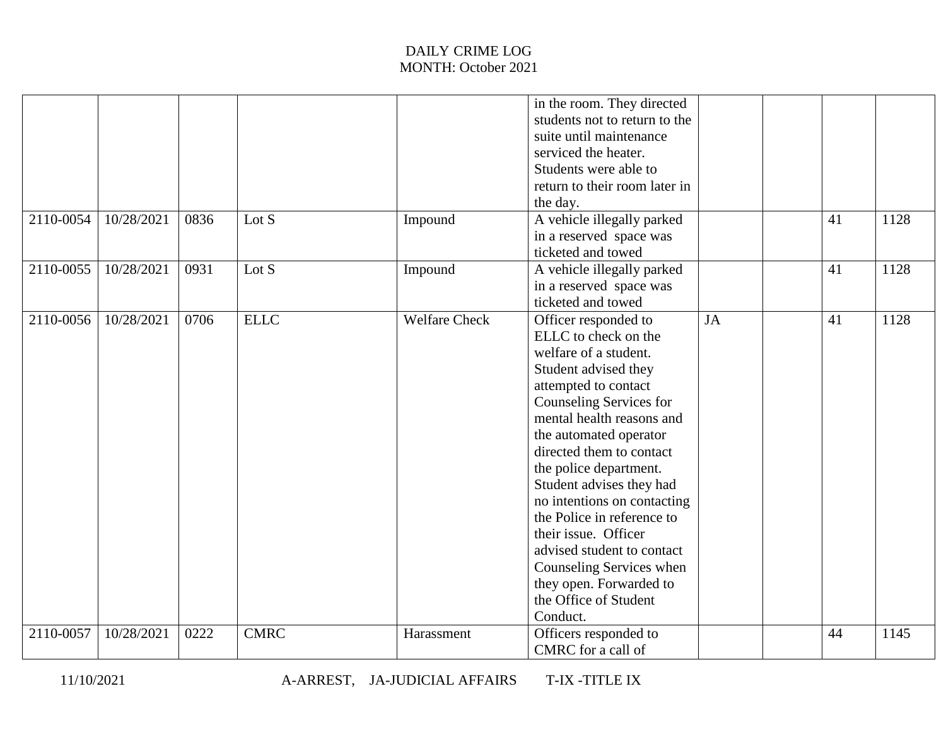| 2110-0054 | 10/28/2021 | 0836 | Lot S       | Impound              | in the room. They directed<br>students not to return to the<br>suite until maintenance<br>serviced the heater.<br>Students were able to<br>return to their room later in<br>the day.<br>A vehicle illegally parked<br>in a reserved space was                                                                                                                                                                                                                                                            |    | 41 | 1128 |
|-----------|------------|------|-------------|----------------------|----------------------------------------------------------------------------------------------------------------------------------------------------------------------------------------------------------------------------------------------------------------------------------------------------------------------------------------------------------------------------------------------------------------------------------------------------------------------------------------------------------|----|----|------|
| 2110-0055 | 10/28/2021 | 0931 | Lot S       | Impound              | ticketed and towed<br>A vehicle illegally parked<br>in a reserved space was<br>ticketed and towed                                                                                                                                                                                                                                                                                                                                                                                                        |    | 41 | 1128 |
| 2110-0056 | 10/28/2021 | 0706 | <b>ELLC</b> | <b>Welfare Check</b> | Officer responded to<br>ELLC to check on the<br>welfare of a student.<br>Student advised they<br>attempted to contact<br>Counseling Services for<br>mental health reasons and<br>the automated operator<br>directed them to contact<br>the police department.<br>Student advises they had<br>no intentions on contacting<br>the Police in reference to<br>their issue. Officer<br>advised student to contact<br>Counseling Services when<br>they open. Forwarded to<br>the Office of Student<br>Conduct. | JA | 41 | 1128 |
| 2110-0057 | 10/28/2021 | 0222 | <b>CMRC</b> | Harassment           | Officers responded to<br>CMRC for a call of                                                                                                                                                                                                                                                                                                                                                                                                                                                              |    | 44 | 1145 |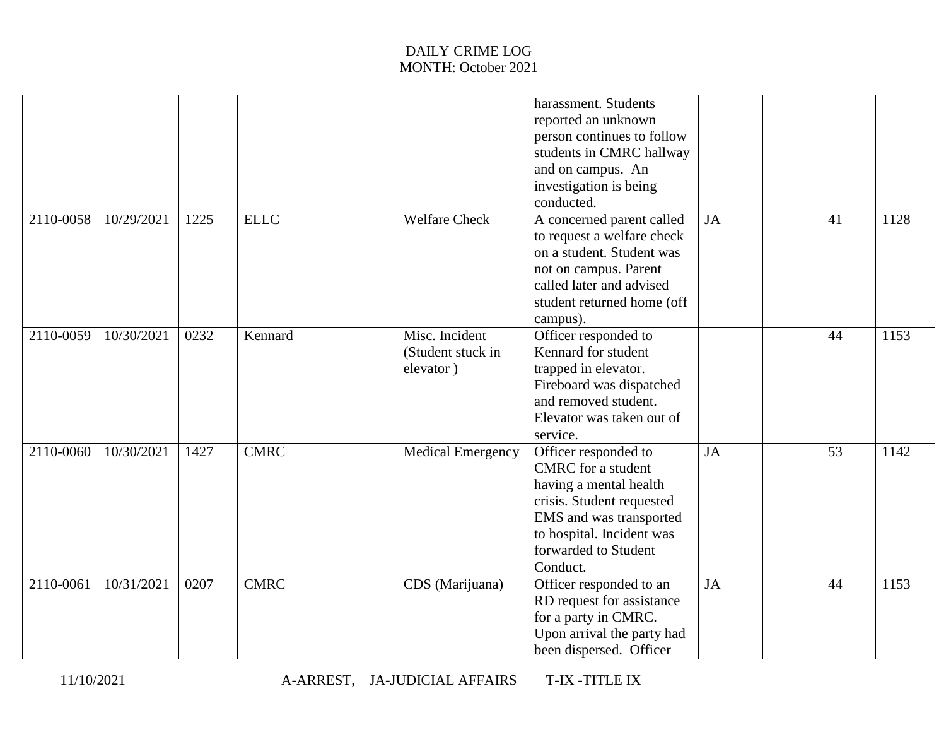|           |            |      |             |                                                  | harassment. Students<br>reported an unknown<br>person continues to follow<br>students in CMRC hallway<br>and on campus. An<br>investigation is being<br>conducted.                                   |           |    |      |
|-----------|------------|------|-------------|--------------------------------------------------|------------------------------------------------------------------------------------------------------------------------------------------------------------------------------------------------------|-----------|----|------|
| 2110-0058 | 10/29/2021 | 1225 | <b>ELLC</b> | <b>Welfare Check</b>                             | A concerned parent called<br>to request a welfare check<br>on a student. Student was<br>not on campus. Parent<br>called later and advised<br>student returned home (off<br>campus).                  | <b>JA</b> | 41 | 1128 |
| 2110-0059 | 10/30/2021 | 0232 | Kennard     | Misc. Incident<br>(Student stuck in<br>elevator) | Officer responded to<br>Kennard for student<br>trapped in elevator.<br>Fireboard was dispatched<br>and removed student.<br>Elevator was taken out of<br>service.                                     |           | 44 | 1153 |
| 2110-0060 | 10/30/2021 | 1427 | <b>CMRC</b> | <b>Medical Emergency</b>                         | Officer responded to<br><b>CMRC</b> for a student<br>having a mental health<br>crisis. Student requested<br>EMS and was transported<br>to hospital. Incident was<br>forwarded to Student<br>Conduct. | JA        | 53 | 1142 |
| 2110-0061 | 10/31/2021 | 0207 | <b>CMRC</b> | CDS (Marijuana)                                  | Officer responded to an<br>RD request for assistance<br>for a party in CMRC.<br>Upon arrival the party had<br>been dispersed. Officer                                                                | <b>JA</b> | 44 | 1153 |